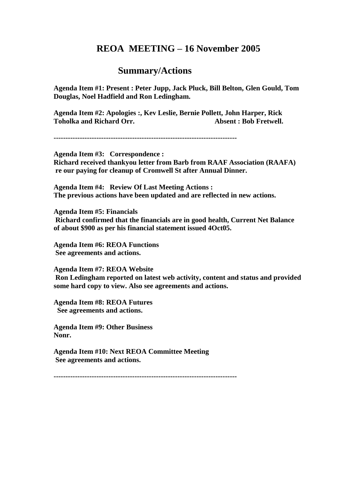## **REOA MEETING – 16 November 2005**

## **Summary/Actions**

**Agenda Item #1: Present : Peter Jupp, Jack Pluck, Bill Belton, Glen Gould, Tom Douglas, Noel Hadfield and Ron Ledingham.**

**Agenda Item #2: Apologies :, Kev Leslie, Bernie Pollett, John Harper, Rick Toholka and Richard Orr.** Absent : Bob Fretwell.

**-----------------------------------------------------------------------------**

**Agenda Item #3: Correspondence : Richard received thankyou letter from Barb from RAAF Association (RAAFA) re our paying for cleanup of Cromwell St after Annual Dinner.**

**Agenda Item #4: Review Of Last Meeting Actions : The previous actions have been updated and are reflected in new actions.**

**Agenda Item #5: Financials Richard confirmed that the financials are in good health, Current Net Balance of about \$900 as per his financial statement issued 4Oct05.**

**Agenda Item #6: REOA Functions See agreements and actions.**

**Agenda Item #7: REOA Website Ron Ledingham reported on latest web activity, content and status and provided some hard copy to view. Also see agreements and actions.**

**Agenda Item #8: REOA Futures See agreements and actions.**

**Agenda Item #9: Other Business Nonr.**

**Agenda Item #10: Next REOA Committee Meeting See agreements and actions.**

**-----------------------------------------------------------------------------**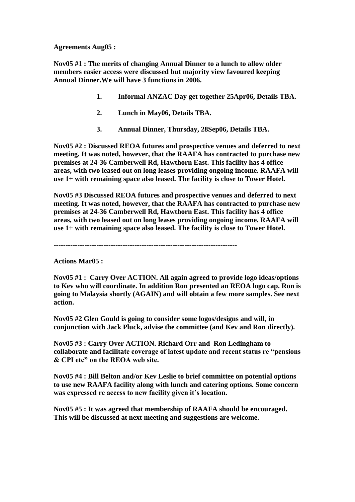**Agreements Aug05 :**

**Nov05 #1 : The merits of changing Annual Dinner to a lunch to allow older members easier access were discussed but majority view favoured keeping Annual Dinner.We will have 3 functions in 2006.** 

- **1. Informal ANZAC Day get together 25Apr06, Details TBA.**
- **2. Lunch in May06, Details TBA.**
- **3. Annual Dinner, Thursday, 28Sep06, Details TBA.**

**Nov05 #2 : Discussed REOA futures and prospective venues and deferred to next meeting. It was noted, however, that the RAAFA has contracted to purchase new premises at 24-36 Camberwell Rd, Hawthorn East. This facility has 4 office areas, with two leased out on long leases providing ongoing income. RAAFA will use 1+ with remaining space also leased. The facility is close to Tower Hotel.** 

**Nov05 #3 Discussed REOA futures and prospective venues and deferred to next meeting. It was noted, however, that the RAAFA has contracted to purchase new premises at 24-36 Camberwell Rd, Hawthorn East. This facility has 4 office areas, with two leased out on long leases providing ongoing income. RAAFA will use 1+ with remaining space also leased. The facility is close to Tower Hotel.** 

**-----------------------------------------------------------------------------**

**Actions Mar05 :**

**Nov05 #1 : Carry Over ACTION. All again agreed to provide logo ideas/options to Kev who will coordinate. In addition Ron presented an REOA logo cap. Ron is going to Malaysia shortly (AGAIN) and will obtain a few more samples. See next action.**

**Nov05 #2 Glen Gould is going to consider some logos/designs and will, in conjunction with Jack Pluck, advise the committee (and Kev and Ron directly).**

**Nov05 #3 : Carry Over ACTION. Richard Orr and Ron Ledingham to collaborate and facilitate coverage of latest update and recent status re "pensions & CPI etc" on the REOA web site.**

**Nov05 #4 : Bill Belton and/or Kev Leslie to brief committee on potential options to use new RAAFA facility along with lunch and catering options. Some concern was expressed re access to new facility given it's location.**

**Nov05 #5 : It was agreed that membership of RAAFA should be encouraged. This will be discussed at next meeting and suggestions are welcome.**